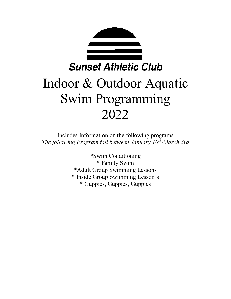

# Indoor & Outdoor Aquatic Swim Programming 2022

Includes Information on the following programs *The following Program fall between January 10th -March 3rd*

> \*Swim Conditioning \* Family Swim \*Adult Group Swimming Lessons \* Inside Group Swimming Lesson's \* Guppies, Guppies, Guppies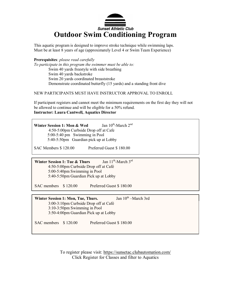

This aquatic program is designed to improve stroke technique while swimming laps. Must be at least 8 years of age (approximately Level 4 or Swim Team Experience)

**Prerequisites**: *please read carefully*

*To participate in this program the swimmer must be able to:* Swim 40 yards freestyle with side breathing Swim 40 yards backstroke Swim 20 yards coordinated breaststroke Demonstrate coordinated butterfly (15 yards) and a standing front dive

#### NEW PARTICIPANTS MUST HAVE INSTRUCTOR APPROVAL TO ENROLL

If participant registers and cannot meet the minimum requirements on the first day they will not be allowed to continue and will be eligible for a 50% refund. **Instructor: Laura Cantwell, Aquatics Director**

**Winter Session 1: Mon & Wed** Jan  $10^{th}$ -March  $2^{nd}$ 4:50-5:00pm Curbside Drop off at Cafe 5:00-5:40 pm Swimming in Pool 5:40-5:50pm Guardian pick up at Lobby

SAC Members \$ 120.00 Preferred Guest \$ 180.00

**Winter Session 1: Tue & Thurs** Jan 11<sup>th</sup>-March 3<sup>rd</sup> 4:50-5:00pm Curbside Drop off at Café 5:00-5:40pm Swimming in Pool 5:40-5:50pm Guardian Pick up at Lobby

SAC members  $$ 120.00$  Preferred Guest \$ 180.00

**Winter Session 1: Mon, Tue, Thurs.** Jan 10<sup>th</sup> – March 3rd 3:00-3:10pm Curbside Drop off at Café 3:10-3:50pm Swimming in Pool 3:50-4:00pm Guardian Pick up at Lobby

SAC members \$ 120.00 Preferred Guest \$ 180.00

To register please visit:<https://sunsetac.clubautomation.com/> Click Register for Classes and filter to Aquatics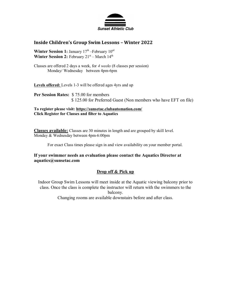

### **Inside Children's Group Swim Lessons – Winter 2022**

Winter Session 1: January 17<sup>th</sup> – February 10<sup>rd</sup> Winter Session 2: February 21<sup>st</sup> – March 14<sup>th</sup>

Classes are offered 2 days a week, for *4 weeks* (8 classes per session) Monday/ Wednesday between 4pm-6pm

Levels offered: Levels 1-3 will be offered ages 4yrs and up

**Per Session Rates:** \$ 75.00 for members \$ 125.00 for Preferred Guest (Non members who have EFT on file)

**To register please visit:<https://sunsetac.clubautomation.com/> Click Register for Classes and filter to Aquatics**

**Classes available:** Classes are 30 minutes in length and are grouped by skill level. Monday & Wednesday between 4pm-6:00pm

For exact Class times please sign in and view availability on your member portal.

#### **If your swimmer needs an evaluation please contact the Aquatics Director at aquatics@sunsetac.com**

#### **Drop off & Pick up**

Indoor Group Swim Lessons will meet inside at the Aquatic viewing balcony prior to class. Once the class is complete the instructor will return with the swimmers to the balcony.

Changing rooms are available downstairs before and after class.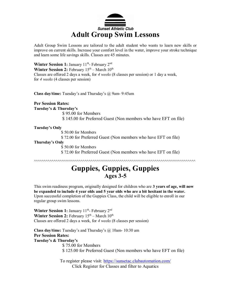

Adult Group Swim Lessons are tailored to the adult student who wants to learn new skills or improve on current skills. Increase your comfort level in the water, improve your stroke technique and learn some life savings skills. Classes are 45 minutes.

Winter Session 1: January 11<sup>th</sup>- February 2<sup>nd</sup> **Winter Session 2:** February  $15<sup>th</sup>$  – March  $10<sup>th</sup>$ Classes are offered 2 days a week, for *4 weeks* (8 classes per session) or 1 day a week, for *4 weeks* (4 classes per session)

**Class day/time:** Tuesday's and Thursday's @ 9am- 9:45am

**Per Session Rates: Tuesday's & Thursday's** \$ 95.00 for Members \$ 145.00 for Preferred Guest (Non members who have EFT on file)

#### **Tuesday's Only**

\$ 50.00 for Members

\$ 72.00 for Preferred Guest (Non members who have EFT on file)

#### **Thursday's Only**

\$ 50.00 for Members

\$ 72.00 for Preferred Guest (Non members who have EFT on file)

^^^^^^^^^^^^^^^^^^^^^^^^^^^^^^^^^^^^^^^^^^^^^^^^^^^^^^^^^^^^^^^^^^^^^^^^^^^^^^^^^^^

# **Guppies, Guppies, Guppies Ages 3-5**

This swim readiness program, originally designed for children who are **3 years of age, will now be expanded to include 4 year olds and 5 year olds who are a bit hesitant in the water.** Upon successful completion of the Guppies Class, the child will be eligible to enroll in our regular group swim lessons.

Winter Session 1: January 11<sup>th</sup>- February 2<sup>nd</sup> Winter Session 2: February  $15<sup>th</sup>$  – March  $10<sup>th</sup>$ Classes are offered 2 days a week, for *4 weeks* (8 classes per session)

**Class day/time:** Tuesday's and Thursday's @ 10am- 10:30 am **Per Session Rates: Tuesday's & Thursday's** \$ 75.00 for Members \$ 125.00 for Preferred Guest (Non members who have EFT on file)

> To register please visit:<https://sunsetac.clubautomation.com/> Click Register for Classes and filter to Aquatics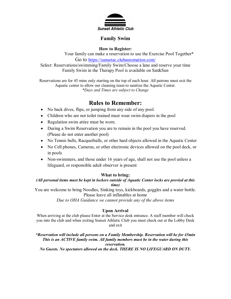

# **Family Swim**

**How to Register:**

Your family can make a reservation to use the Exercise Pool Together\* Go to <https://sunsetac.clubautomation.com/>

Select: Reservations/swimming/Family Swim/Choose a lane and reserve your time Family Swim in the Therapy Pool is available on Sat&Sun

Reservations are for 45 mins only starting on the top of each hour. All patrons must exit the Aquatic center to allow our cleaning team to sanitize the Aquatic Center. *\*Days and Times are subject to Change*

# **Rules to Remember:**

- No back dives, flips, or jumping from any side of any pool.
- Children who are not toilet trained must wear swim diapers in the pool
- Regulation swim attire must be worn.
- During a Swim Reservation you are to remain in the pool you have reserved. (Please do not enter another pool)
- No Tennis balls, Racquetballs, or other hard objects allowed in the Aquatic Center
- No Cell phones, Cameras, or other electronic devices allowed on the pool deck, or in pools
- Non-swimmers, and those under 16 years of age, shall not use the pool unless a lifeguard, or responsible adult observer is present

## **What to bring:**

*(All personal items must be kept in lockers outside of Aquatic Center locks are provied at this time)*

You are welcome to bring Noodles, Sinking toys, kickboards, goggles and a water bottle. Please leave all inflatables at home

*Due to OHA Guidance we cannot provide any of the above items*

# **Upon Arrival**

When arriving at the club please Enter at the Service desk entrance. A staff member will check you into the club and when exiting Sunset Athletic Club you must check out at the Lobby Desk and exit

*\*Reservation will include all persons on a Family Membership. Reservation will be for 45min This is an ACTIVE family swim. All family members must be in the water during this reservation. No Guests. No spectators allowed on the deck. THERE IS NO LIFEGUARD ON DUTY.*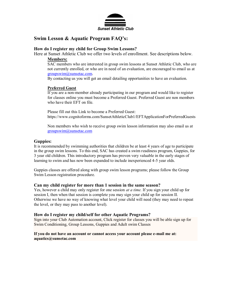

# **Swim Lesson & Aquatic Program FAQ's:**

#### **How do I register my child for Group Swim Lessons?**

Here at Sunset Athletic Club we offer two levels of enrollment. See descriptions below. **Members:**

SAC members who are interested in group swim lessons at Sunset Athletic Club, who are not currently enrolled, or who are in need of an evaluation, are encouraged to email us at [groupswim@sunsetac.com.](mailto:groupswim@sunsetac.com)

By contacting us you will get an email detailing opportunities to have an evaluation.

#### **Preferred Guest**

If you are a non-member already participating in our program and would like to register for classes online you must become a Preferred Guest. Preferred Guest are non members who have their EFT on file.

Please fill out this Link to become a Preferred Guest: https://www.cognitoforms.com/SunsetAthleticClub1/EFTApplicationForPreferredGuests

Non members who wish to receive group swim lesson information may also email us at [groupswim@sunsetac.com](mailto:groupswim@sunsetac.com)

#### **Guppies:**

It is recommended by swimming authorities that children be at least 4 years of age to participate in the group swim lessons. To this end, SAC has created a swim readiness program, Guppies, for 3 year old children. This introductory program has proven very valuable in the early stages of learning to swim and has now been expanded to include inexperienced 4-5 year olds.

Guppies classes are offered along with group swim lesson programs; please follow the Group Swim Lesson registration procedure.

#### **Can my child register for more than 1 session in the same season?**

Yes, however a child may only register for one session *at a time.* If you sign your child up for session I, then when that session is complete you may sign your child up for session II. Otherwise we have no way of knowing what level your child will need (they may need to repeat the level, or they may pass to another level).

#### **How do I register my child/self for other Aquatic Programs?**

Sign into your Club Automation account, Click register for classes you will be able sign up for Swim Conditioning, Group Lessons, Guppies and Adult swim Classes

#### **If you do not have an account or cannot access your account please e-mail me at: aquatics@sunsetac.com**